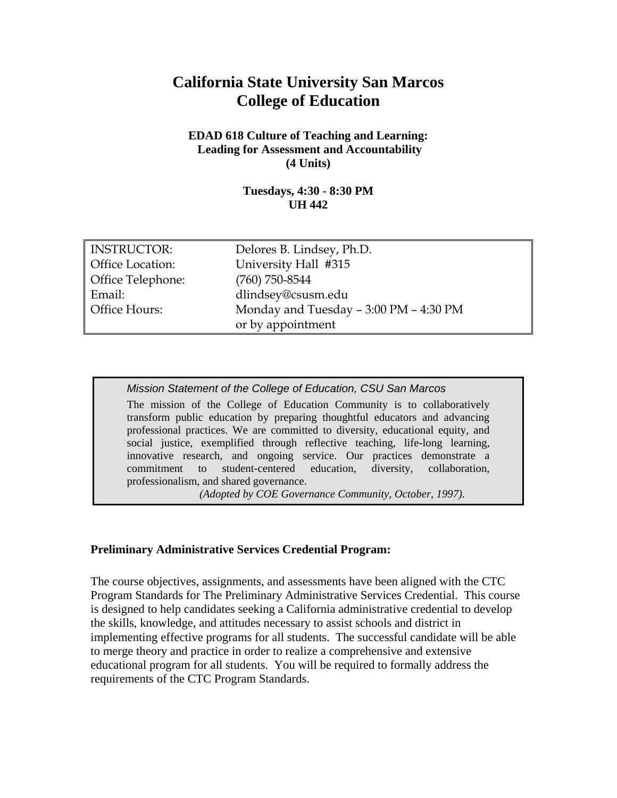# **California State University San Marcos College of Education**

#### **EDAD 618 Culture of Teaching and Learning: Leading for Assessment and Accountability (4 Units)**

#### **Tuesdays, 4:30 - 8:30 PM UH 442**

| <b>INSTRUCTOR:</b> | Delores B. Lindsey, Ph.D.              |
|--------------------|----------------------------------------|
| Office Location:   | University Hall #315                   |
| Office Telephone:  | $(760)$ 750-8544                       |
| Email:             | dlindsey@csusm.edu                     |
| Office Hours:      | Monday and Tuesday - 3:00 PM - 4:30 PM |
|                    | or by appointment                      |

*Mission Statement of the College of Education, CSU San Marcos*  The mission of the College of Education Community is to collaboratively transform public education by preparing thoughtful educators and advancing professional practices. We are committed to diversity, educational equity, and social justice, exemplified through reflective teaching, life-long learning, innovative research, and ongoing service. Our practices demonstrate a commitment to student-centered education, diversity, collaboration, professionalism, and shared governance.

*(Adopted by COE Governance Community, October, 1997).*

#### **Preliminary Administrative Services Credential Program:**

The course objectives, assignments, and assessments have been aligned with the CTC Program Standards for The Preliminary Administrative Services Credential. This course is designed to help candidates seeking a California administrative credential to develop the skills, knowledge, and attitudes necessary to assist schools and district in implementing effective programs for all students. The successful candidate will be able to merge theory and practice in order to realize a comprehensive and extensive educational program for all students. You will be required to formally address the requirements of the CTC Program Standards.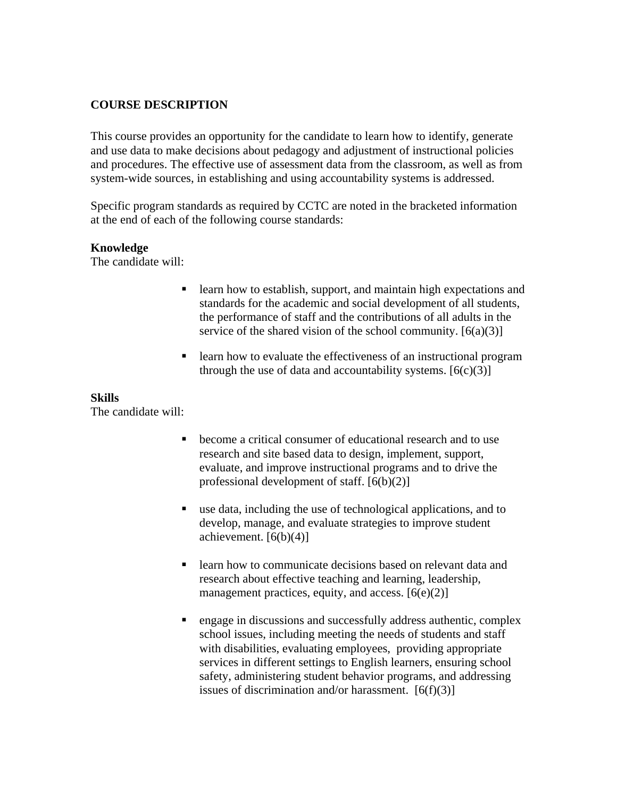#### **COURSE DESCRIPTION**

This course provides an opportunity for the candidate to learn how to identify, generate and use data to make decisions about pedagogy and adjustment of instructional policies and procedures. The effective use of assessment data from the classroom, as well as from system-wide sources, in establishing and using accountability systems is addressed.

Specific program standards as required by CCTC are noted in the bracketed information at the end of each of the following course standards:

#### **Knowledge**

The candidate will:

- **Exercise 1** Learn how to establish, support, and maintain high expectations and standards for the academic and social development of all students, the performance of staff and the contributions of all adults in the service of the shared vision of the school community.  $[6(a)(3)]$
- **Example 1** learn how to evaluate the effectiveness of an instructional program through the use of data and accountability systems.  $[6(c)(3)]$

#### **Skills**

The candidate will:

- become a critical consumer of educational research and to use research and site based data to design, implement, support, evaluate, and improve instructional programs and to drive the professional development of staff. [6(b)(2)]
- use data, including the use of technological applications, and to develop, manage, and evaluate strategies to improve student achievement.  $[6(b)(4)]$
- **EXECUTE:** learn how to communicate decisions based on relevant data and research about effective teaching and learning, leadership, management practices, equity, and access.  $[6(e)(2)]$
- engage in discussions and successfully address authentic, complex school issues, including meeting the needs of students and staff with disabilities, evaluating employees, providing appropriate services in different settings to English learners, ensuring school safety, administering student behavior programs, and addressing issues of discrimination and/or harassment.  $[6(f)(3)]$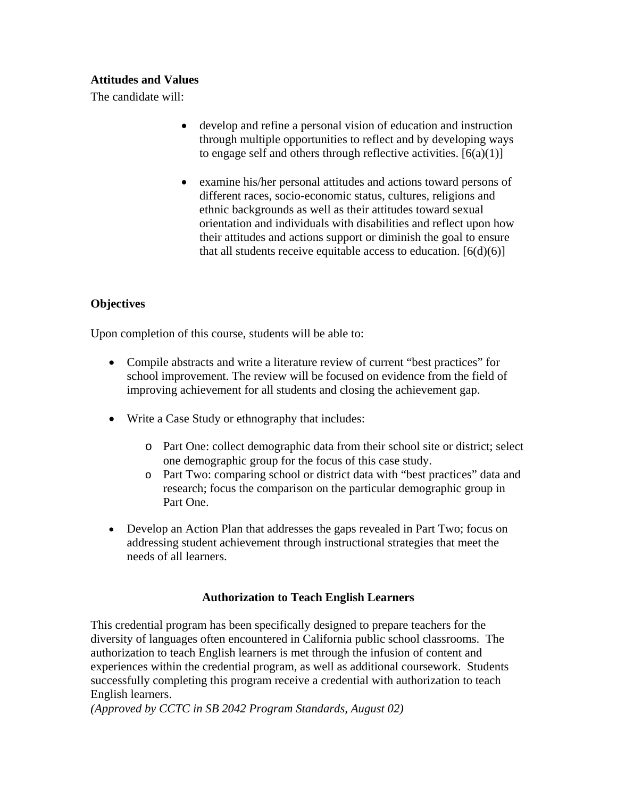#### **Attitudes and Values**

The candidate will:

- develop and refine a personal vision of education and instruction through multiple opportunities to reflect and by developing ways to engage self and others through reflective activities.  $[6(a)(1)]$
- examine his/her personal attitudes and actions toward persons of different races, socio-economic status, cultures, religions and ethnic backgrounds as well as their attitudes toward sexual orientation and individuals with disabilities and reflect upon how their attitudes and actions support or diminish the goal to ensure that all students receive equitable access to education.  $[6(d)(6)]$

### **Objectives**

Upon completion of this course, students will be able to:

- Compile abstracts and write a literature review of current "best practices" for school improvement. The review will be focused on evidence from the field of improving achievement for all students and closing the achievement gap.
- Write a Case Study or ethnography that includes:
	- o Part One: collect demographic data from their school site or district; select one demographic group for the focus of this case study.
	- o Part Two: comparing school or district data with "best practices" data and research; focus the comparison on the particular demographic group in Part One.
- Develop an Action Plan that addresses the gaps revealed in Part Two; focus on addressing student achievement through instructional strategies that meet the needs of all learners.

#### **Authorization to Teach English Learners**

This credential program has been specifically designed to prepare teachers for the diversity of languages often encountered in California public school classrooms. The authorization to teach English learners is met through the infusion of content and experiences within the credential program, as well as additional coursework. Students successfully completing this program receive a credential with authorization to teach English learners.

*(Approved by CCTC in SB 2042 Program Standards, August 02)*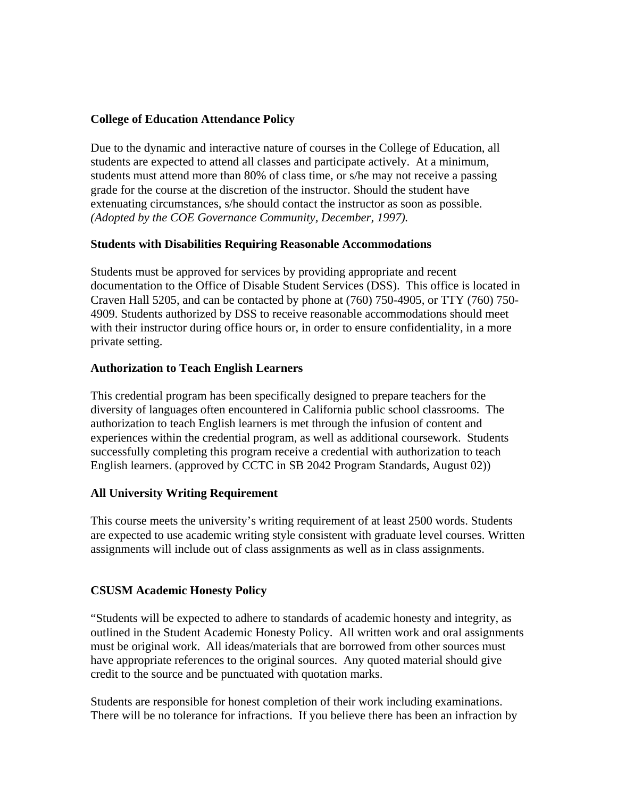#### **College of Education Attendance Policy**

Due to the dynamic and interactive nature of courses in the College of Education, all students are expected to attend all classes and participate actively. At a minimum, students must attend more than 80% of class time, or s/he may not receive a passing grade for the course at the discretion of the instructor. Should the student have extenuating circumstances, s/he should contact the instructor as soon as possible. *(Adopted by the COE Governance Community, December, 1997).*

#### **Students with Disabilities Requiring Reasonable Accommodations**

Students must be approved for services by providing appropriate and recent documentation to the Office of Disable Student Services (DSS). This office is located in Craven Hall 5205, and can be contacted by phone at (760) 750-4905, or TTY (760) 750- 4909. Students authorized by DSS to receive reasonable accommodations should meet with their instructor during office hours or, in order to ensure confidentiality, in a more private setting.

#### **Authorization to Teach English Learners**

This credential program has been specifically designed to prepare teachers for the diversity of languages often encountered in California public school classrooms. The authorization to teach English learners is met through the infusion of content and experiences within the credential program, as well as additional coursework. Students successfully completing this program receive a credential with authorization to teach English learners. (approved by CCTC in SB 2042 Program Standards, August 02))

#### **All University Writing Requirement**

This course meets the university's writing requirement of at least 2500 words. Students are expected to use academic writing style consistent with graduate level courses. Written assignments will include out of class assignments as well as in class assignments.

#### **CSUSM Academic Honesty Policy**

"Students will be expected to adhere to standards of academic honesty and integrity, as outlined in the Student Academic Honesty Policy. All written work and oral assignments must be original work. All ideas/materials that are borrowed from other sources must have appropriate references to the original sources. Any quoted material should give credit to the source and be punctuated with quotation marks.

Students are responsible for honest completion of their work including examinations. There will be no tolerance for infractions. If you believe there has been an infraction by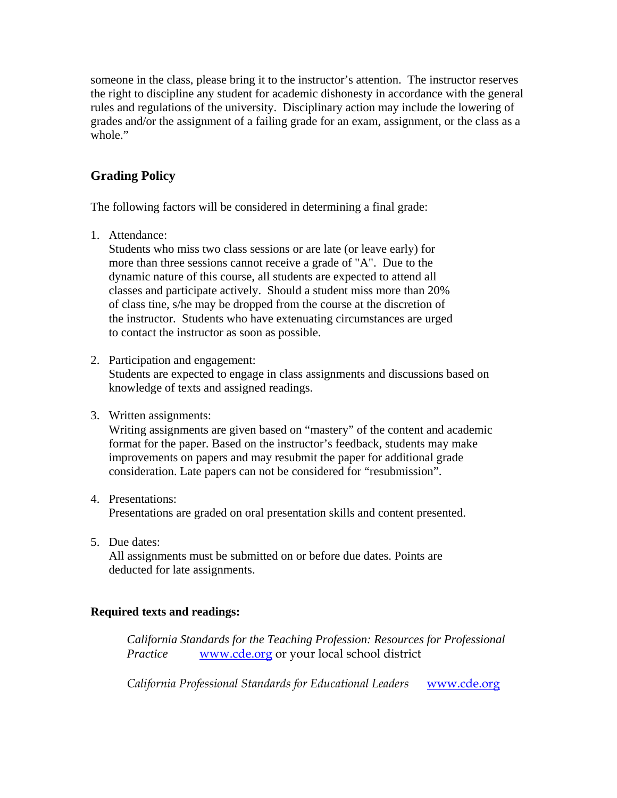someone in the class, please bring it to the instructor's attention. The instructor reserves the right to discipline any student for academic dishonesty in accordance with the general rules and regulations of the university. Disciplinary action may include the lowering of grades and/or the assignment of a failing grade for an exam, assignment, or the class as a whole."

## **Grading Policy**

The following factors will be considered in determining a final grade:

1. Attendance:

Students who miss two class sessions or are late (or leave early) for more than three sessions cannot receive a grade of "A". Due to the dynamic nature of this course, all students are expected to attend all classes and participate actively. Should a student miss more than 20% of class tine, s/he may be dropped from the course at the discretion of the instructor. Students who have extenuating circumstances are urged to contact the instructor as soon as possible.

2. Participation and engagement:

Students are expected to engage in class assignments and discussions based on knowledge of texts and assigned readings.

3. Written assignments:

Writing assignments are given based on "mastery" of the content and academic format for the paper. Based on the instructor's feedback, students may make improvements on papers and may resubmit the paper for additional grade consideration. Late papers can not be considered for "resubmission".

- 4. Presentations: Presentations are graded on oral presentation skills and content presented.
- 5. Due dates:

 All assignments must be submitted on or before due dates. Points are deducted for late assignments.

#### **Required texts and readings:**

*California Standards for the Teaching Profession: Resources for Professional Practice* www.cde.org or your local school district

*California Professional Standards for Educational Leaders* www.cde.org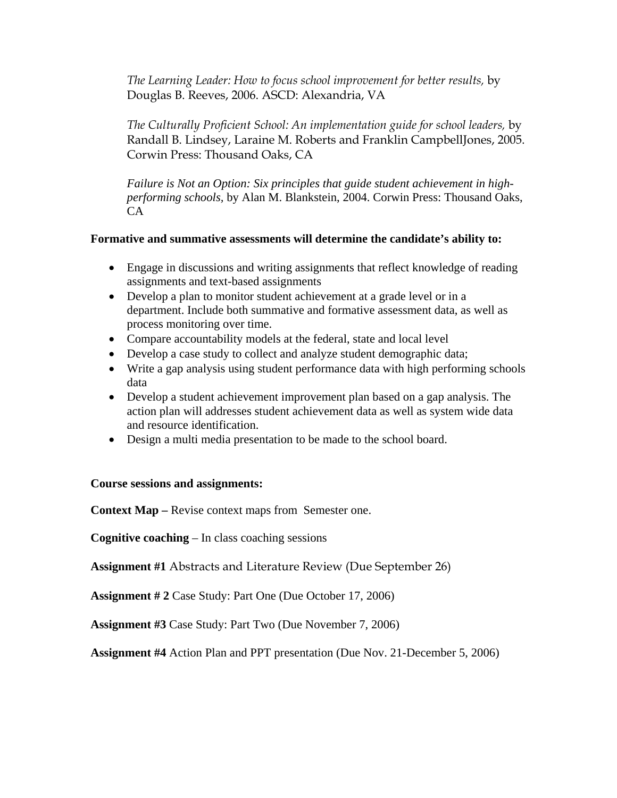*The Learning Leader: How to focus school improvement for better results,* by Douglas B. Reeves, 2006. ASCD: Alexandria, VA

*The Culturally Proficient School: An implementation guide for school leaders,* by Randall B. Lindsey, Laraine M. Roberts and Franklin CampbellJones, 2005. Corwin Press: Thousand Oaks, CA

*Failure is Not an Option: Six principles that guide student achievement in highperforming schools,* by Alan M. Blankstein, 2004. Corwin Press: Thousand Oaks, CA

#### **Formative and summative assessments will determine the candidate's ability to:**

- Engage in discussions and writing assignments that reflect knowledge of reading assignments and text-based assignments
- Develop a plan to monitor student achievement at a grade level or in a department. Include both summative and formative assessment data, as well as process monitoring over time.
- Compare accountability models at the federal, state and local level
- Develop a case study to collect and analyze student demographic data;
- Write a gap analysis using student performance data with high performing schools data
- Develop a student achievement improvement plan based on a gap analysis. The action plan will addresses student achievement data as well as system wide data and resource identification.
- Design a multi media presentation to be made to the school board.

#### **Course sessions and assignments:**

**Context Map –** Revise context maps from Semester one.

**Cognitive coaching** – In class coaching sessions

**Assignment #1** Abstracts and Literature Review (Due September 26)

**Assignment # 2** Case Study: Part One (Due October 17, 2006)

**Assignment #3** Case Study: Part Two (Due November 7, 2006)

**Assignment #4** Action Plan and PPT presentation (Due Nov. 21-December 5, 2006)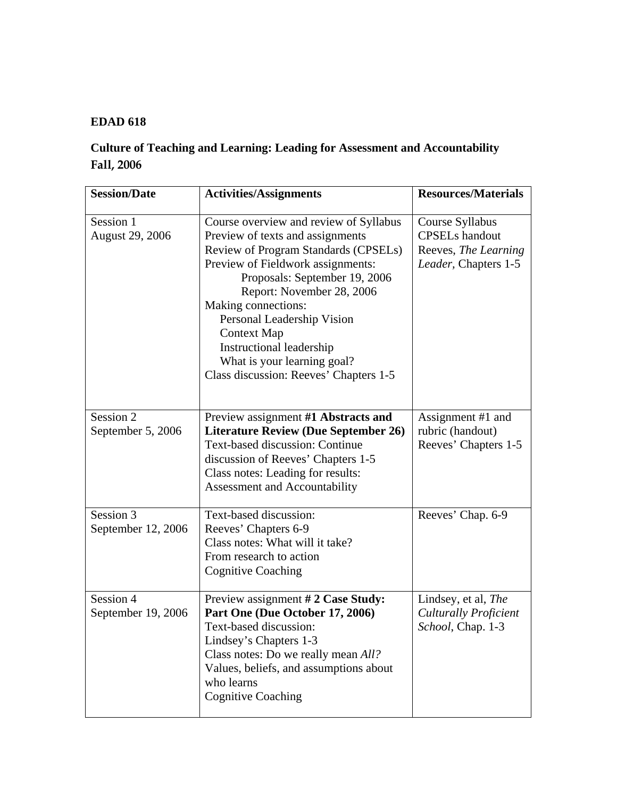### **EDAD 618**

# **Culture of Teaching and Learning: Leading for Assessment and Accountability Fall, 2006**

| <b>Session/Date</b>             | <b>Activities/Assignments</b>                                                                                                                                                                                                                                                                                                                                                                         | <b>Resources/Materials</b>                                                               |
|---------------------------------|-------------------------------------------------------------------------------------------------------------------------------------------------------------------------------------------------------------------------------------------------------------------------------------------------------------------------------------------------------------------------------------------------------|------------------------------------------------------------------------------------------|
| Session 1<br>August 29, 2006    | Course overview and review of Syllabus<br>Preview of texts and assignments<br>Review of Program Standards (CPSELs)<br>Preview of Fieldwork assignments:<br>Proposals: September 19, 2006<br>Report: November 28, 2006<br>Making connections:<br>Personal Leadership Vision<br><b>Context Map</b><br>Instructional leadership<br>What is your learning goal?<br>Class discussion: Reeves' Chapters 1-5 | Course Syllabus<br><b>CPSELs</b> handout<br>Reeves, The Learning<br>Leader, Chapters 1-5 |
| Session 2<br>September 5, 2006  | Preview assignment #1 Abstracts and<br><b>Literature Review (Due September 26)</b><br><b>Text-based discussion: Continue</b><br>discussion of Reeves' Chapters 1-5<br>Class notes: Leading for results:<br>Assessment and Accountability                                                                                                                                                              | Assignment #1 and<br>rubric (handout)<br>Reeves' Chapters 1-5                            |
| Session 3<br>September 12, 2006 | Text-based discussion:<br>Reeves' Chapters 6-9<br>Class notes: What will it take?<br>From research to action<br><b>Cognitive Coaching</b>                                                                                                                                                                                                                                                             | Reeves' Chap. 6-9                                                                        |
| Session 4<br>September 19, 2006 | Preview assignment # 2 Case Study:<br>Part One (Due October 17, 2006)<br>Text-based discussion:<br>Lindsey's Chapters 1-3<br>Class notes: Do we really mean All?<br>Values, beliefs, and assumptions about<br>who learns<br><b>Cognitive Coaching</b>                                                                                                                                                 | Lindsey, et al, The<br><b>Culturally Proficient</b><br>School, Chap. 1-3                 |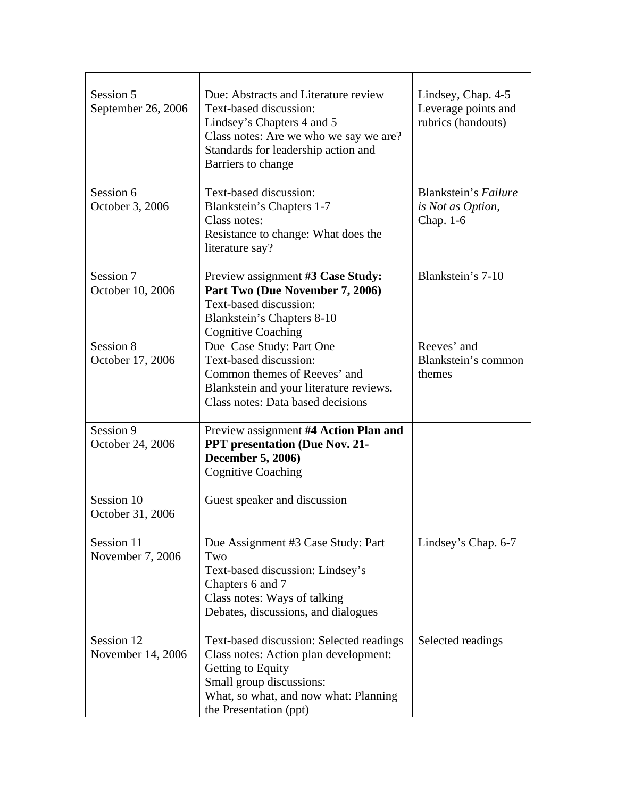| Session 5<br>September 26, 2006 | Due: Abstracts and Literature review<br>Text-based discussion:<br>Lindsey's Chapters 4 and 5<br>Class notes: Are we who we say we are?<br>Standards for leadership action and<br>Barriers to change   | Lindsey, Chap. 4-5<br>Leverage points and<br>rubrics (handouts) |
|---------------------------------|-------------------------------------------------------------------------------------------------------------------------------------------------------------------------------------------------------|-----------------------------------------------------------------|
| Session 6<br>October 3, 2006    | Text-based discussion:<br>Blankstein's Chapters 1-7<br>Class notes:<br>Resistance to change: What does the<br>literature say?                                                                         | Blankstein's Failure<br>is Not as Option,<br>Chap. 1-6          |
| Session 7<br>October 10, 2006   | Preview assignment #3 Case Study:<br>Part Two (Due November 7, 2006)<br>Text-based discussion:<br>Blankstein's Chapters 8-10<br><b>Cognitive Coaching</b>                                             | Blankstein's 7-10                                               |
| Session 8<br>October 17, 2006   | Due Case Study: Part One<br>Text-based discussion:<br>Common themes of Reeves' and<br>Blankstein and your literature reviews.<br>Class notes: Data based decisions                                    | Reeves' and<br>Blankstein's common<br>themes                    |
| Session 9<br>October 24, 2006   | Preview assignment #4 Action Plan and<br><b>PPT</b> presentation (Due Nov. 21-<br><b>December 5, 2006)</b><br><b>Cognitive Coaching</b>                                                               |                                                                 |
| Session 10<br>October 31, 2006  | Guest speaker and discussion                                                                                                                                                                          |                                                                 |
| Session 11<br>November 7, 2006  | Due Assignment #3 Case Study: Part<br>Two<br>Text-based discussion: Lindsey's<br>Chapters 6 and 7<br>Class notes: Ways of talking<br>Debates, discussions, and dialogues                              | Lindsey's Chap. 6-7                                             |
| Session 12<br>November 14, 2006 | Text-based discussion: Selected readings<br>Class notes: Action plan development:<br>Getting to Equity<br>Small group discussions:<br>What, so what, and now what: Planning<br>the Presentation (ppt) | Selected readings                                               |